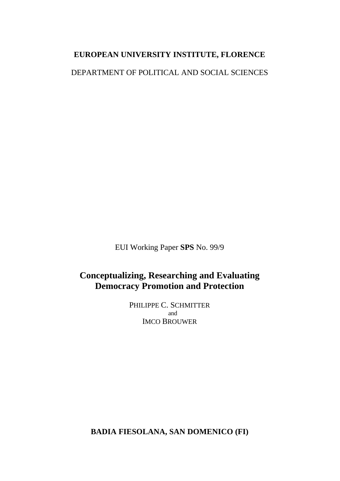### **EUROPEAN UNIVERSITY INSTITUTE, FLORENCE**

DEPARTMENT OF POLITICAL AND SOCIAL SCIENCES

EUI Working Paper **SPS** No. 99/9

## **Conceptualizing, Researching and Evaluating Democracy Promotion and Protection**

PHILIPPE C. SCHMITTER and IMCO BROUWER

**BADIA FIESOLANA, SAN DOMENICO (FI)**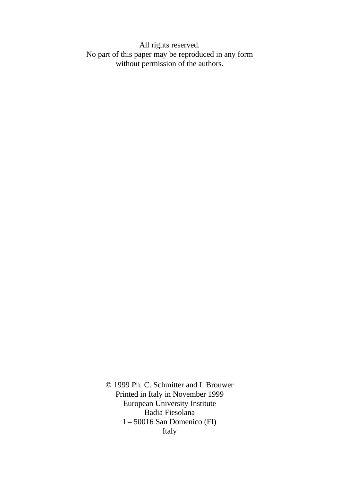All rights reserved. No part of this paper may be reproduced in any form without permission of the authors.

> © 1999 Ph. C. Schmitter and I. Brouwer Printed in Italy in November 1999 European University Institute Badia Fiesolana I – 50016 San Domenico (FI) Italy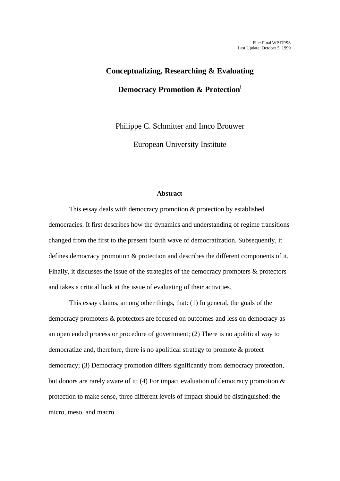# **Conceptualizing, Researching & Evaluating Democracy Promotion & Protection**<sup>i</sup>

Philippe C. Schmitter and Imco Brouwer

European University Institute

#### **Abstract**

This essay deals with democracy promotion & protection by established democracies. It first describes how the dynamics and understanding of regime transitions changed from the first to the present fourth wave of democratization. Subsequently, it defines democracy promotion & protection and describes the different components of it. Finally, it discusses the issue of the strategies of the democracy promoters & protectors and takes a critical look at the issue of evaluating of their activities.

This essay claims, among other things, that: (1) In general, the goals of the democracy promoters & protectors are focused on outcomes and less on democracy as an open ended process or procedure of government; (2) There is no apolitical way to democratize and, therefore, there is no apolitical strategy to promote & protect democracy; (3) Democracy promotion differs significantly from democracy protection, but donors are rarely aware of it; (4) For impact evaluation of democracy promotion  $\&$ protection to make sense, three different levels of impact should be distinguished: the micro, meso, and macro.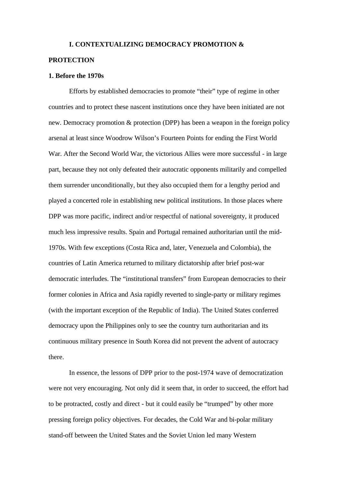#### **I. CONTEXTUALIZING DEMOCRACY PROMOTION &**

#### **PROTECTION**

#### **1. Before the 1970s**

Efforts by established democracies to promote "their" type of regime in other countries and to protect these nascent institutions once they have been initiated are not new. Democracy promotion & protection (DPP) has been a weapon in the foreign policy arsenal at least since Woodrow Wilson's Fourteen Points for ending the First World War. After the Second World War, the victorious Allies were more successful - in large part, because they not only defeated their autocratic opponents militarily and compelled them surrender unconditionally, but they also occupied them for a lengthy period and played a concerted role in establishing new political institutions. In those places where DPP was more pacific, indirect and/or respectful of national sovereignty, it produced much less impressive results. Spain and Portugal remained authoritarian until the mid-1970s. With few exceptions (Costa Rica and, later, Venezuela and Colombia), the countries of Latin America returned to military dictatorship after brief post-war democratic interludes. The "institutional transfers" from European democracies to their former colonies in Africa and Asia rapidly reverted to single-party or military regimes (with the important exception of the Republic of India). The United States conferred democracy upon the Philippines only to see the country turn authoritarian and its continuous military presence in South Korea did not prevent the advent of autocracy there.

In essence, the lessons of DPP prior to the post-1974 wave of democratization were not very encouraging. Not only did it seem that, in order to succeed, the effort had to be protracted, costly and direct - but it could easily be "trumped" by other more pressing foreign policy objectives. For decades, the Cold War and bi-polar military stand-off between the United States and the Soviet Union led many Western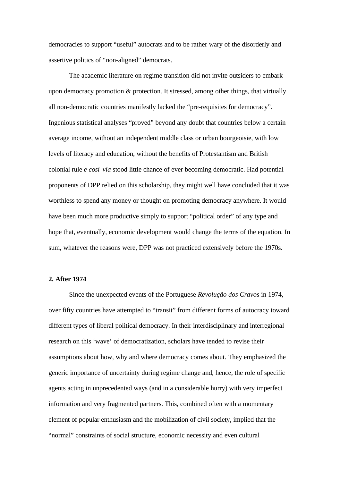democracies to support "useful" autocrats and to be rather wary of the disorderly and assertive politics of "non-aligned" democrats.

The academic literature on regime transition did not invite outsiders to embark upon democracy promotion & protection. It stressed, among other things, that virtually all non-democratic countries manifestly lacked the "pre-requisites for democracy". Ingenious statistical analyses "proved" beyond any doubt that countries below a certain average income, without an independent middle class or urban bourgeoisie, with low levels of literacy and education, without the benefits of Protestantism and British colonial rule *e così via* stood little chance of ever becoming democratic. Had potential proponents of DPP relied on this scholarship, they might well have concluded that it was worthless to spend any money or thought on promoting democracy anywhere. It would have been much more productive simply to support "political order" of any type and hope that, eventually, economic development would change the terms of the equation. In sum, whatever the reasons were, DPP was not practiced extensively before the 1970s.

#### **2. After 1974**

Since the unexpected events of the Portuguese *Revolução dos Cravos* in 1974, over fifty countries have attempted to "transit" from different forms of autocracy toward different types of liberal political democracy. In their interdisciplinary and interregional research on this 'wave' of democratization, scholars have tended to revise their assumptions about how, why and where democracy comes about. They emphasized the generic importance of uncertainty during regime change and, hence, the role of specific agents acting in unprecedented ways (and in a considerable hurry) with very imperfect information and very fragmented partners. This, combined often with a momentary element of popular enthusiasm and the mobilization of civil society, implied that the "normal" constraints of social structure, economic necessity and even cultural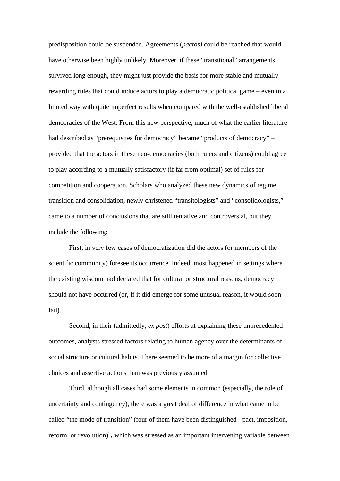predisposition could be suspended. Agreements (*pactos)* could be reached that would have otherwise been highly unlikely. Moreover, if these "transitional" arrangements survived long enough, they might just provide the basis for more stable and mutually rewarding rules that could induce actors to play a democratic political game – even in a limited way with quite imperfect results when compared with the well-established liberal democracies of the West. From this new perspective, much of what the earlier literature had described as "prerequisites for democracy" became "products of democracy" – provided that the actors in these neo-democracies (both rulers and citizens) could agree to play according to a mutually satisfactory (if far from optimal) set of rules for competition and cooperation. Scholars who analyzed these new dynamics of regime transition and consolidation, newly christened "transitologists" and "consolidologists," came to a number of conclusions that are still tentative and controversial, but they include the following:

First, in very few cases of democratization did the actors (or members of the scientific community) foresee its occurrence. Indeed, most happened in settings where the existing wisdom had declared that for cultural or structural reasons, democracy should not have occurred (or, if it did emerge for some unusual reason, it would soon fail).

Second, in their (admittedly, *ex post*) efforts at explaining these unprecedented outcomes, analysts stressed factors relating to human agency over the determinants of social structure or cultural habits. There seemed to be more of a margin for collective choices and assertive actions than was previously assumed.

Third, although all cases had some elements in common (especially, the role of uncertainty and contingency), there was a great deal of difference in what came to be called "the mode of transition" (four of them have been distinguished - pact, imposition, reform, or revolution)<sup>ii</sup>, which was stressed as an important intervening variable between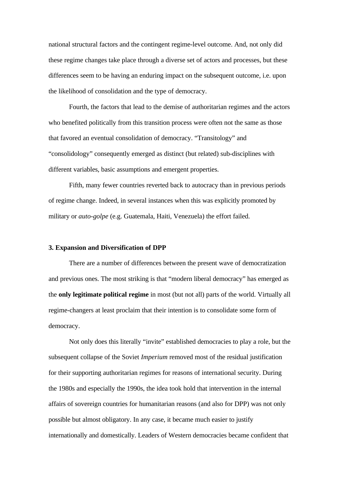national structural factors and the contingent regime-level outcome. And, not only did these regime changes take place through a diverse set of actors and processes, but these differences seem to be having an enduring impact on the subsequent outcome, i.e. upon the likelihood of consolidation and the type of democracy.

Fourth, the factors that lead to the demise of authoritarian regimes and the actors who benefited politically from this transition process were often not the same as those that favored an eventual consolidation of democracy. "Transitology" and "consolidology" consequently emerged as distinct (but related) sub-disciplines with different variables, basic assumptions and emergent properties.

Fifth, many fewer countries reverted back to autocracy than in previous periods of regime change. Indeed, in several instances when this was explicitly promoted by military or *auto-golpe* (e.g. Guatemala, Haiti, Venezuela) the effort failed.

#### **3. Expansion and Diversification of DPP**

There are a number of differences between the present wave of democratization and previous ones. The most striking is that "modern liberal democracy" has emerged as the **only legitimate political regime** in most (but not all) parts of the world. Virtually all regime-changers at least proclaim that their intention is to consolidate some form of democracy.

Not only does this literally "invite" established democracies to play a role, but the subsequent collapse of the Soviet *Imperium* removed most of the residual justification for their supporting authoritarian regimes for reasons of international security. During the 1980s and especially the 1990s, the idea took hold that intervention in the internal affairs of sovereign countries for humanitarian reasons (and also for DPP) was not only possible but almost obligatory. In any case, it became much easier to justify internationally and domestically. Leaders of Western democracies became confident that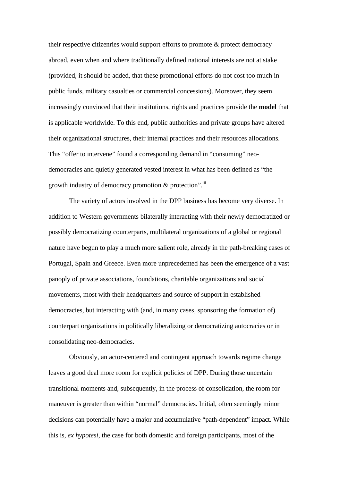their respective citizenries would support efforts to promote & protect democracy abroad, even when and where traditionally defined national interests are not at stake (provided, it should be added, that these promotional efforts do not cost too much in public funds, military casualties or commercial concessions). Moreover, they seem increasingly convinced that their institutions, rights and practices provide the **model** that is applicable worldwide. To this end, public authorities and private groups have altered their organizational structures, their internal practices and their resources allocations. This "offer to intervene" found a corresponding demand in "consuming" neodemocracies and quietly generated vested interest in what has been defined as "the growth industry of democracy promotion & protection".<sup>iii</sup>

The variety of actors involved in the DPP business has become very diverse. In addition to Western governments bilaterally interacting with their newly democratized or possibly democratizing counterparts, multilateral organizations of a global or regional nature have begun to play a much more salient role, already in the path-breaking cases of Portugal, Spain and Greece. Even more unprecedented has been the emergence of a vast panoply of private associations, foundations, charitable organizations and social movements, most with their headquarters and source of support in established democracies, but interacting with (and, in many cases, sponsoring the formation of) counterpart organizations in politically liberalizing or democratizing autocracies or in consolidating neo-democracies.

Obviously, an actor-centered and contingent approach towards regime change leaves a good deal more room for explicit policies of DPP. During those uncertain transitional moments and, subsequently, in the process of consolidation, the room for maneuver is greater than within "normal" democracies. Initial, often seemingly minor decisions can potentially have a major and accumulative "path-dependent" impact. While this is, *ex hypotesi*, the case for both domestic and foreign participants, most of the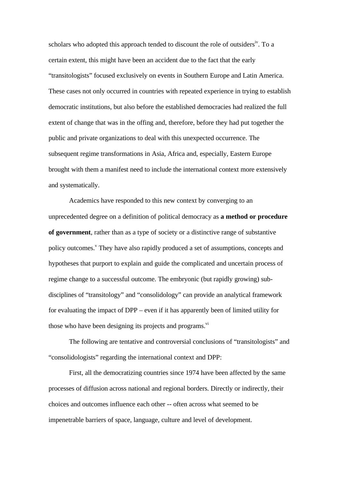scholars who adopted this approach tended to discount the role of outsiders<sup>iv</sup>. To a certain extent, this might have been an accident due to the fact that the early "transitologists" focused exclusively on events in Southern Europe and Latin America. These cases not only occurred in countries with repeated experience in trying to establish democratic institutions, but also before the established democracies had realized the full extent of change that was in the offing and, therefore, before they had put together the public and private organizations to deal with this unexpected occurrence. The subsequent regime transformations in Asia, Africa and, especially, Eastern Europe brought with them a manifest need to include the international context more extensively and systematically.

Academics have responded to this new context by converging to an unprecedented degree on a definition of political democracy as **a method or procedure of government**, rather than as a type of society or a distinctive range of substantive policy outcomes.<sup>V</sup> They have also rapidly produced a set of assumptions, concepts and hypotheses that purport to explain and guide the complicated and uncertain process of regime change to a successful outcome. The embryonic (but rapidly growing) subdisciplines of "transitology" and "consolidology" can provide an analytical framework for evaluating the impact of DPP – even if it has apparently been of limited utility for those who have been designing its projects and programs.<sup>vi</sup>

The following are tentative and controversial conclusions of "transitologists" and "consolidologists" regarding the international context and DPP:

First, all the democratizing countries since 1974 have been affected by the same processes of diffusion across national and regional borders. Directly or indirectly, their choices and outcomes influence each other -- often across what seemed to be impenetrable barriers of space, language, culture and level of development.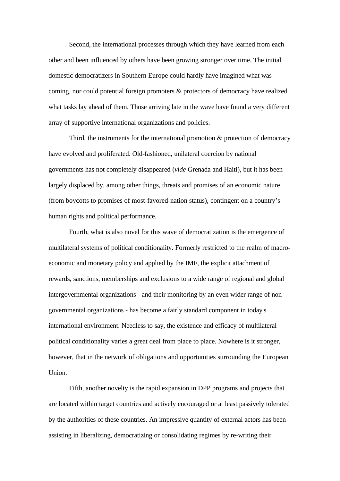Second, the international processes through which they have learned from each other and been influenced by others have been growing stronger over time. The initial domestic democratizers in Southern Europe could hardly have imagined what was coming, nor could potential foreign promoters & protectors of democracy have realized what tasks lay ahead of them. Those arriving late in the wave have found a very different array of supportive international organizations and policies.

Third, the instruments for the international promotion  $\&$  protection of democracy have evolved and proliferated. Old-fashioned, unilateral coercion by national governments has not completely disappeared (*vide* Grenada and Haiti), but it has been largely displaced by, among other things, threats and promises of an economic nature (from boycotts to promises of most-favored-nation status), contingent on a country's human rights and political performance.

Fourth, what is also novel for this wave of democratization is the emergence of multilateral systems of political conditionality. Formerly restricted to the realm of macroeconomic and monetary policy and applied by the IMF, the explicit attachment of rewards, sanctions, memberships and exclusions to a wide range of regional and global intergovernmental organizations - and their monitoring by an even wider range of nongovernmental organizations - has become a fairly standard component in today's international environment. Needless to say, the existence and efficacy of multilateral political conditionality varies a great deal from place to place. Nowhere is it stronger, however, that in the network of obligations and opportunities surrounding the European Union.

Fifth, another novelty is the rapid expansion in DPP programs and projects that are located within target countries and actively encouraged or at least passively tolerated by the authorities of these countries. An impressive quantity of external actors has been assisting in liberalizing, democratizing or consolidating regimes by re-writing their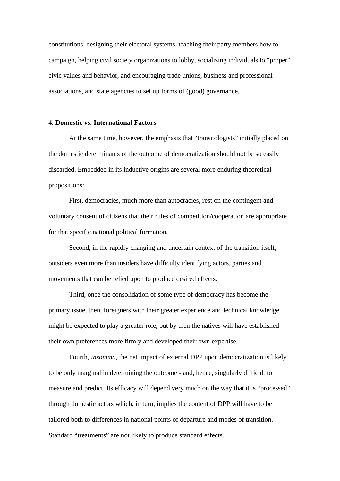constitutions, designing their electoral systems, teaching their party members how to campaign, helping civil society organizations to lobby, socializing individuals to "proper" civic values and behavior, and encouraging trade unions, business and professional associations, and state agencies to set up forms of (good) governance.

#### **4. Domestic vs. International Factors**

At the same time, however, the emphasis that "transitologists" initially placed on the domestic determinants of the outcome of democratization should not be so easily discarded. Embedded in its inductive origins are several more enduring theoretical propositions:

First, democracies, much more than autocracies, rest on the contingent and voluntary consent of citizens that their rules of competition/cooperation are appropriate for that specific national political formation.

Second, in the rapidly changing and uncertain context of the transition itself, outsiders even more than insiders have difficulty identifying actors, parties and movements that can be relied upon to produce desired effects.

Third, once the consolidation of some type of democracy has become the primary issue, then, foreigners with their greater experience and technical knowledge might be expected to play a greater role, but by then the natives will have established their own preferences more firmly and developed their own expertise.

Fourth, *insomma*, the net impact of external DPP upon democratization is likely to be only marginal in determining the outcome - and, hence, singularly difficult to measure and predict. Its efficacy will depend very much on the way that it is "processed" through domestic actors which, in turn, implies the content of DPP will have to be tailored both to differences in national points of departure and modes of transition. Standard "treatments" are not likely to produce standard effects.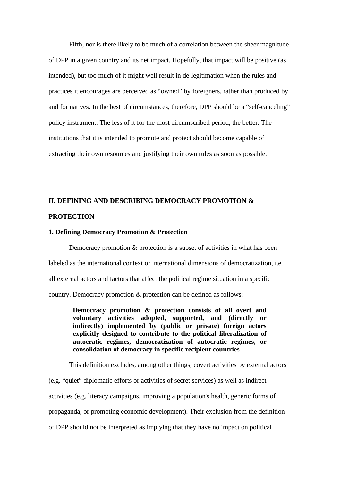Fifth, nor is there likely to be much of a correlation between the sheer magnitude of DPP in a given country and its net impact. Hopefully, that impact will be positive (as intended), but too much of it might well result in de-legitimation when the rules and practices it encourages are perceived as "owned" by foreigners, rather than produced by and for natives. In the best of circumstances, therefore, DPP should be a "self-canceling" policy instrument. The less of it for the most circumscribed period, the better. The institutions that it is intended to promote and protect should become capable of extracting their own resources and justifying their own rules as soon as possible.

## **II. DEFINING AND DESCRIBING DEMOCRACY PROMOTION & PROTECTION**

#### **1. Defining Democracy Promotion & Protection**

Democracy promotion & protection is a subset of activities in what has been labeled as the international context or international dimensions of democratization, i.e. all external actors and factors that affect the political regime situation in a specific country. Democracy promotion & protection can be defined as follows:

> **Democracy promotion & protection consists of all overt and voluntary activities adopted, supported, and (directly or indirectly) implemented by (public or private) foreign actors explicitly designed to contribute to the political liberalization of autocratic regimes, democratization of autocratic regimes, or consolidation of democracy in specific recipient countries**

This definition excludes, among other things, covert activities by external actors

(e.g. "quiet" diplomatic efforts or activities of secret services) as well as indirect activities (e.g. literacy campaigns, improving a population's health, generic forms of propaganda, or promoting economic development). Their exclusion from the definition of DPP should not be interpreted as implying that they have no impact on political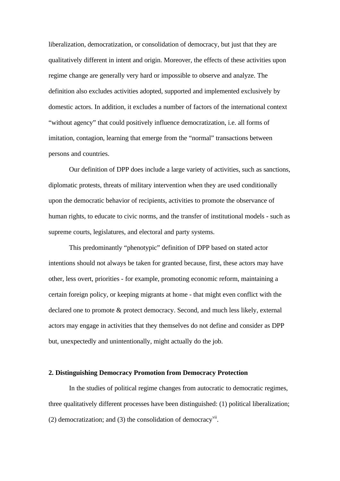liberalization, democratization, or consolidation of democracy, but just that they are qualitatively different in intent and origin. Moreover, the effects of these activities upon regime change are generally very hard or impossible to observe and analyze. The definition also excludes activities adopted, supported and implemented exclusively by domestic actors. In addition, it excludes a number of factors of the international context "without agency" that could positively influence democratization, i.e. all forms of imitation, contagion, learning that emerge from the "normal" transactions between persons and countries.

Our definition of DPP does include a large variety of activities, such as sanctions, diplomatic protests, threats of military intervention when they are used conditionally upon the democratic behavior of recipients, activities to promote the observance of human rights, to educate to civic norms, and the transfer of institutional models - such as supreme courts, legislatures, and electoral and party systems.

This predominantly "phenotypic" definition of DPP based on stated actor intentions should not always be taken for granted because, first, these actors may have other, less overt, priorities - for example, promoting economic reform, maintaining a certain foreign policy, or keeping migrants at home - that might even conflict with the declared one to promote & protect democracy. Second, and much less likely, external actors may engage in activities that they themselves do not define and consider as DPP but, unexpectedly and unintentionally, might actually do the job.

#### **2. Distinguishing Democracy Promotion from Democracy Protection**

In the studies of political regime changes from autocratic to democratic regimes, three qualitatively different processes have been distinguished: (1) political liberalization;  $(2)$  democratization; and  $(3)$  the consolidation of democracy<sup>vii</sup>.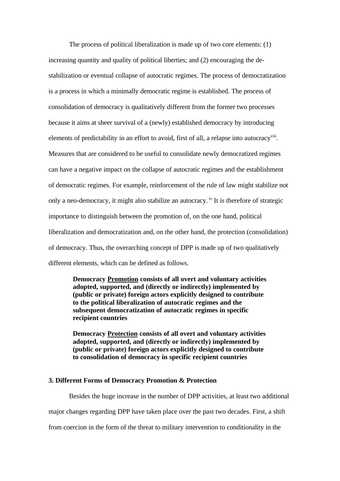The process of political liberalization is made up of two core elements: (1) increasing quantity and quality of political liberties; and (2) encouraging the destabilization or eventual collapse of autocratic regimes. The process of democratization is a process in which a minimally democratic regime is established. The process of consolidation of democracy is qualitatively different from the former two processes because it aims at sheer survival of a (newly) established democracy by introducing elements of predictability in an effort to avoid, first of all, a relapse into autocracy<sup>viii</sup>. Measures that are considered to be useful to consolidate newly democratized regimes can have a negative impact on the collapse of autocratic regimes and the establishment of democratic regimes. For example, reinforcement of the rule of law might stabilize not only a neo-democracy, it might also stabilize an autocracy. <sup>ix</sup> It is therefore of strategic importance to distinguish between the promotion of, on the one hand, political liberalization and democratization and, on the other hand, the protection (consolidation) of democracy. Thus, the overarching concept of DPP is made up of two qualitatively different elements, which can be defined as follows.

**Democracy Promotion consists of all overt and voluntary activities adopted, supported, and (directly or indirectly) implemented by (public or private) foreign actors explicitly designed to contribute to the political liberalization of autocratic regimes and the subsequent democratization of autocratic regimes in specific recipient countries**

**Democracy Protection consists of all overt and voluntary activities adopted, supported, and (directly or indirectly) implemented by (public or private) foreign actors explicitly designed to contribute to consolidation of democracy in specific recipient countries**

#### **3. Different Forms of Democracy Promotion & Protection**

Besides the huge increase in the number of DPP activities, at least two additional major changes regarding DPP have taken place over the past two decades. First, a shift

from coercion in the form of the threat to military intervention to conditionality in the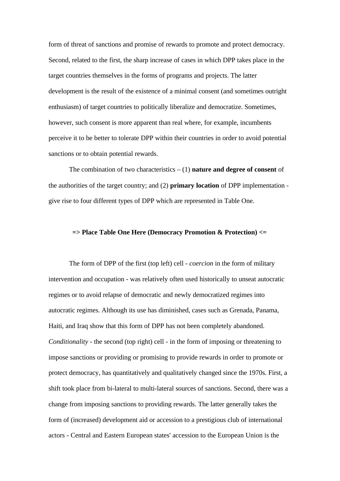form of threat of sanctions and promise of rewards to promote and protect democracy. Second, related to the first, the sharp increase of cases in which DPP takes place in the target countries themselves in the forms of programs and projects. The latter development is the result of the existence of a minimal consent (and sometimes outright enthusiasm) of target countries to politically liberalize and democratize. Sometimes, however, such consent is more apparent than real where, for example, incumbents perceive it to be better to tolerate DPP within their countries in order to avoid potential sanctions or to obtain potential rewards.

The combination of two characteristics – (1) **nature and degree of consent** of the authorities of the target country; and (2) **primary location** of DPP implementation give rise to four different types of DPP which are represented in Table One.

#### **=> Place Table One Here (Democracy Promotion & Protection) <=**

The form of DPP of the first (top left) cell - *coercion* in the form of military intervention and occupation - was relatively often used historically to unseat autocratic regimes or to avoid relapse of democratic and newly democratized regimes into autocratic regimes. Although its use has diminished, cases such as Grenada, Panama, Haiti, and Iraq show that this form of DPP has not been completely abandoned. *Conditionality* - the second (top right) cell - in the form of imposing or threatening to impose sanctions or providing or promising to provide rewards in order to promote or protect democracy, has quantitatively and qualitatively changed since the 1970s. First, a shift took place from bi-lateral to multi-lateral sources of sanctions. Second, there was a change from imposing sanctions to providing rewards. The latter generally takes the form of (increased) development aid or accession to a prestigious club of international actors - Central and Eastern European states' accession to the European Union is the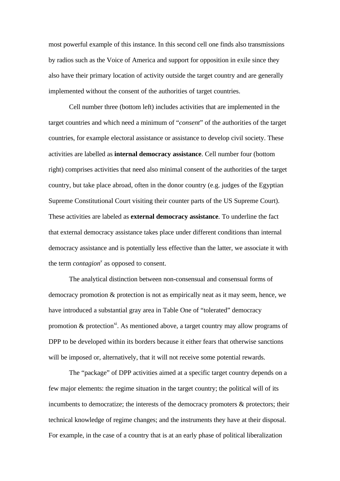most powerful example of this instance. In this second cell one finds also transmissions by radios such as the Voice of America and support for opposition in exile since they also have their primary location of activity outside the target country and are generally implemented without the consent of the authorities of target countries.

Cell number three (bottom left) includes activities that are implemented in the target countries and which need a minimum of "*consent*" of the authorities of the target countries, for example electoral assistance or assistance to develop civil society. These activities are labelled as **internal democracy assistance**. Cell number four (bottom right) comprises activities that need also minimal consent of the authorities of the target country, but take place abroad, often in the donor country (e.g. judges of the Egyptian Supreme Constitutional Court visiting their counter parts of the US Supreme Court). These activities are labeled as **external democracy assistance**. To underline the fact that external democracy assistance takes place under different conditions than internal democracy assistance and is potentially less effective than the latter, we associate it with the term *contagion<sup>x</sup>* as opposed to consent.

The analytical distinction between non-consensual and consensual forms of democracy promotion & protection is not as empirically neat as it may seem, hence, we have introduced a substantial gray area in Table One of "tolerated" democracy promotion  $\&$  protection<sup>xi</sup>. As mentioned above, a target country may allow programs of DPP to be developed within its borders because it either fears that otherwise sanctions will be imposed or, alternatively, that it will not receive some potential rewards.

The "package" of DPP activities aimed at a specific target country depends on a few major elements: the regime situation in the target country; the political will of its incumbents to democratize; the interests of the democracy promoters & protectors; their technical knowledge of regime changes; and the instruments they have at their disposal. For example, in the case of a country that is at an early phase of political liberalization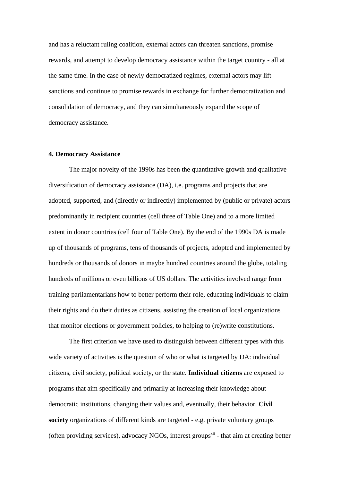and has a reluctant ruling coalition, external actors can threaten sanctions, promise rewards, and attempt to develop democracy assistance within the target country - all at the same time. In the case of newly democratized regimes, external actors may lift sanctions and continue to promise rewards in exchange for further democratization and consolidation of democracy, and they can simultaneously expand the scope of democracy assistance.

#### **4. Democracy Assistance**

The major novelty of the 1990s has been the quantitative growth and qualitative diversification of democracy assistance (DA), i.e. programs and projects that are adopted, supported, and (directly or indirectly) implemented by (public or private) actors predominantly in recipient countries (cell three of Table One) and to a more limited extent in donor countries (cell four of Table One). By the end of the 1990s DA is made up of thousands of programs, tens of thousands of projects, adopted and implemented by hundreds or thousands of donors in maybe hundred countries around the globe, totaling hundreds of millions or even billions of US dollars. The activities involved range from training parliamentarians how to better perform their role, educating individuals to claim their rights and do their duties as citizens, assisting the creation of local organizations that monitor elections or government policies, to helping to (re)write constitutions.

The first criterion we have used to distinguish between different types with this wide variety of activities is the question of who or what is targeted by DA: individual citizens, civil society, political society, or the state. **Individual citizens** are exposed to programs that aim specifically and primarily at increasing their knowledge about democratic institutions, changing their values and, eventually, their behavior. **Civil society** organizations of different kinds are targeted - e.g. private voluntary groups (often providing services), advocacy NGOs, interest groups<sup> $xi$  - that aim at creating better</sup>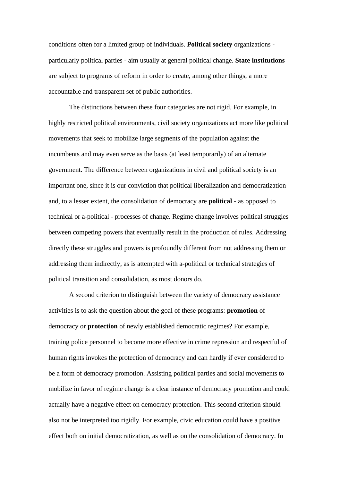conditions often for a limited group of individuals. **Political society** organizations particularly political parties - aim usually at general political change. **State institutions** are subject to programs of reform in order to create, among other things, a more accountable and transparent set of public authorities.

The distinctions between these four categories are not rigid. For example, in highly restricted political environments, civil society organizations act more like political movements that seek to mobilize large segments of the population against the incumbents and may even serve as the basis (at least temporarily) of an alternate government. The difference between organizations in civil and political society is an important one, since it is our conviction that political liberalization and democratization and, to a lesser extent, the consolidation of democracy are **political** - as opposed to technical or a-political - processes of change. Regime change involves political struggles between competing powers that eventually result in the production of rules. Addressing directly these struggles and powers is profoundly different from not addressing them or addressing them indirectly, as is attempted with a-political or technical strategies of political transition and consolidation, as most donors do.

A second criterion to distinguish between the variety of democracy assistance activities is to ask the question about the goal of these programs: **promotion** of democracy or **protection** of newly established democratic regimes? For example, training police personnel to become more effective in crime repression and respectful of human rights invokes the protection of democracy and can hardly if ever considered to be a form of democracy promotion. Assisting political parties and social movements to mobilize in favor of regime change is a clear instance of democracy promotion and could actually have a negative effect on democracy protection. This second criterion should also not be interpreted too rigidly. For example, civic education could have a positive effect both on initial democratization, as well as on the consolidation of democracy. In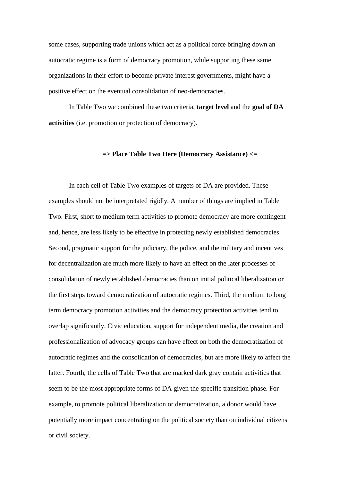some cases, supporting trade unions which act as a political force bringing down an autocratic regime is a form of democracy promotion, while supporting these same organizations in their effort to become private interest governments, might have a positive effect on the eventual consolidation of neo-democracies.

In Table Two we combined these two criteria, **target level** and the **goal of DA activities** (i.e. promotion or protection of democracy).

#### **=> Place Table Two Here (Democracy Assistance) <=**

In each cell of Table Two examples of targets of DA are provided. These examples should not be interpretated rigidly. A number of things are implied in Table Two. First, short to medium term activities to promote democracy are more contingent and, hence, are less likely to be effective in protecting newly established democracies. Second, pragmatic support for the judiciary, the police, and the military and incentives for decentralization are much more likely to have an effect on the later processes of consolidation of newly established democracies than on initial political liberalization or the first steps toward democratization of autocratic regimes. Third, the medium to long term democracy promotion activities and the democracy protection activities tend to overlap significantly. Civic education, support for independent media, the creation and professionalization of advocacy groups can have effect on both the democratization of autocratic regimes and the consolidation of democracies, but are more likely to affect the latter. Fourth, the cells of Table Two that are marked dark gray contain activities that seem to be the most appropriate forms of DA given the specific transition phase. For example, to promote political liberalization or democratization, a donor would have potentially more impact concentrating on the political society than on individual citizens or civil society.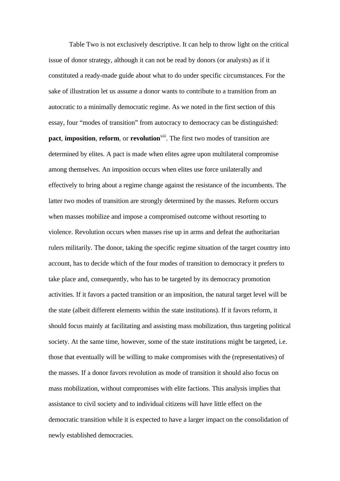Table Two is not exclusively descriptive. It can help to throw light on the critical issue of donor strategy, although it can not be read by donors (or analysts) as if it constituted a ready-made guide about what to do under specific circumstances. For the sake of illustration let us assume a donor wants to contribute to a transition from an autocratic to a minimally democratic regime. As we noted in the first section of this essay, four "modes of transition" from autocracy to democracy can be distinguished: **pact, imposition, reform, or <b>revolution**<sup>xiii</sup>. The first two modes of transition are determined by elites. A pact is made when elites agree upon multilateral compromise among themselves. An imposition occurs when elites use force unilaterally and effectively to bring about a regime change against the resistance of the incumbents. The latter two modes of transition are strongly determined by the masses. Reform occurs when masses mobilize and impose a compromised outcome without resorting to violence. Revolution occurs when masses rise up in arms and defeat the authoritarian rulers militarily. The donor, taking the specific regime situation of the target country into account, has to decide which of the four modes of transition to democracy it prefers to take place and, consequently, who has to be targeted by its democracy promotion activities. If it favors a pacted transition or an imposition, the natural target level will be the state (albeit different elements within the state institutions). If it favors reform, it should focus mainly at facilitating and assisting mass mobilization, thus targeting political society. At the same time, however, some of the state institutions might be targeted, i.e. those that eventually will be willing to make compromises with the (representatives) of the masses. If a donor favors revolution as mode of transition it should also focus on mass mobilization, without compromises with elite factions. This analysis implies that assistance to civil society and to individual citizens will have little effect on the democratic transition while it is expected to have a larger impact on the consolidation of newly established democracies.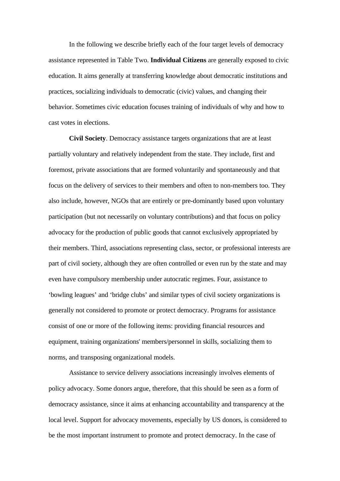In the following we describe briefly each of the four target levels of democracy assistance represented in Table Two. **Individual Citizens** are generally exposed to civic education. It aims generally at transferring knowledge about democratic institutions and practices, socializing individuals to democratic (civic) values, and changing their behavior. Sometimes civic education focuses training of individuals of why and how to cast votes in elections.

**Civil Society**. Democracy assistance targets organizations that are at least partially voluntary and relatively independent from the state. They include, first and foremost, private associations that are formed voluntarily and spontaneously and that focus on the delivery of services to their members and often to non-members too. They also include, however, NGOs that are entirely or pre-dominantly based upon voluntary participation (but not necessarily on voluntary contributions) and that focus on policy advocacy for the production of public goods that cannot exclusively appropriated by their members. Third, associations representing class, sector, or professional interests are part of civil society, although they are often controlled or even run by the state and may even have compulsory membership under autocratic regimes. Four, assistance to 'bowling leagues' and 'bridge clubs' and similar types of civil society organizations is generally not considered to promote or protect democracy. Programs for assistance consist of one or more of the following items: providing financial resources and equipment, training organizations' members/personnel in skills, socializing them to norms, and transposing organizational models.

Assistance to service delivery associations increasingly involves elements of policy advocacy. Some donors argue, therefore, that this should be seen as a form of democracy assistance, since it aims at enhancing accountability and transparency at the local level. Support for advocacy movements, especially by US donors, is considered to be the most important instrument to promote and protect democracy. In the case of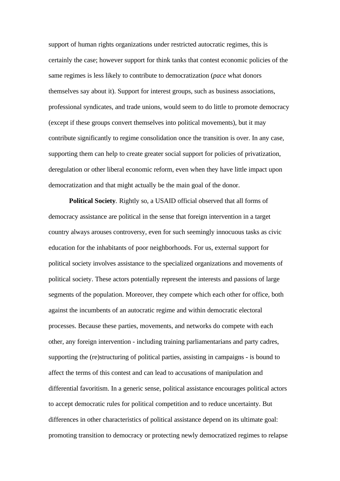support of human rights organizations under restricted autocratic regimes, this is certainly the case; however support for think tanks that contest economic policies of the same regimes is less likely to contribute to democratization (*pace* what donors themselves say about it). Support for interest groups, such as business associations, professional syndicates, and trade unions, would seem to do little to promote democracy (except if these groups convert themselves into political movements), but it may contribute significantly to regime consolidation once the transition is over. In any case, supporting them can help to create greater social support for policies of privatization, deregulation or other liberal economic reform, even when they have little impact upon democratization and that might actually be the main goal of the donor.

**Political Society***.* Rightly so, a USAID official observed that all forms of democracy assistance are political in the sense that foreign intervention in a target country always arouses controversy, even for such seemingly innocuous tasks as civic education for the inhabitants of poor neighborhoods. For us, external support for political society involves assistance to the specialized organizations and movements of political society. These actors potentially represent the interests and passions of large segments of the population. Moreover, they compete which each other for office, both against the incumbents of an autocratic regime and within democratic electoral processes. Because these parties, movements, and networks do compete with each other, any foreign intervention - including training parliamentarians and party cadres, supporting the (re)structuring of political parties, assisting in campaigns - is bound to affect the terms of this contest and can lead to accusations of manipulation and differential favoritism. In a generic sense, political assistance encourages political actors to accept democratic rules for political competition and to reduce uncertainty. But differences in other characteristics of political assistance depend on its ultimate goal: promoting transition to democracy or protecting newly democratized regimes to relapse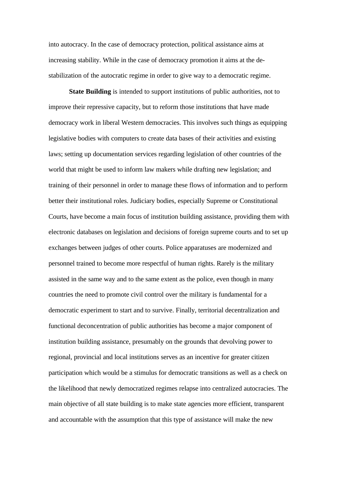into autocracy. In the case of democracy protection, political assistance aims at increasing stability. While in the case of democracy promotion it aims at the destabilization of the autocratic regime in order to give way to a democratic regime.

**State Building** is intended to support institutions of public authorities, not to improve their repressive capacity, but to reform those institutions that have made democracy work in liberal Western democracies. This involves such things as equipping legislative bodies with computers to create data bases of their activities and existing laws; setting up documentation services regarding legislation of other countries of the world that might be used to inform law makers while drafting new legislation; and training of their personnel in order to manage these flows of information and to perform better their institutional roles. Judiciary bodies, especially Supreme or Constitutional Courts, have become a main focus of institution building assistance, providing them with electronic databases on legislation and decisions of foreign supreme courts and to set up exchanges between judges of other courts. Police apparatuses are modernized and personnel trained to become more respectful of human rights. Rarely is the military assisted in the same way and to the same extent as the police, even though in many countries the need to promote civil control over the military is fundamental for a democratic experiment to start and to survive. Finally, territorial decentralization and functional deconcentration of public authorities has become a major component of institution building assistance, presumably on the grounds that devolving power to regional, provincial and local institutions serves as an incentive for greater citizen participation which would be a stimulus for democratic transitions as well as a check on the likelihood that newly democratized regimes relapse into centralized autocracies. The main objective of all state building is to make state agencies more efficient, transparent and accountable with the assumption that this type of assistance will make the new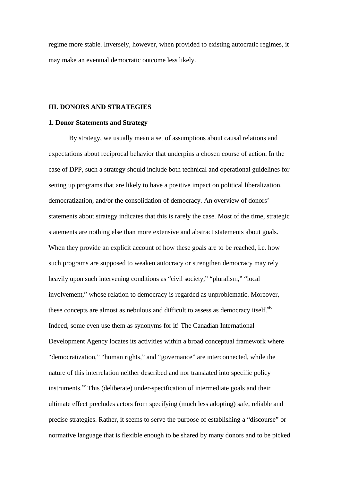regime more stable. Inversely, however, when provided to existing autocratic regimes, it may make an eventual democratic outcome less likely.

#### **III. DONORS AND STRATEGIES**

#### **1. Donor Statements and Strategy**

By strategy, we usually mean a set of assumptions about causal relations and expectations about reciprocal behavior that underpins a chosen course of action. In the case of DPP, such a strategy should include both technical and operational guidelines for setting up programs that are likely to have a positive impact on political liberalization, democratization, and/or the consolidation of democracy. An overview of donors' statements about strategy indicates that this is rarely the case. Most of the time, strategic statements are nothing else than more extensive and abstract statements about goals. When they provide an explicit account of how these goals are to be reached, i.e. how such programs are supposed to weaken autocracy or strengthen democracy may rely heavily upon such intervening conditions as "civil society," "pluralism," "local involvement," whose relation to democracy is regarded as unproblematic. Moreover, these concepts are almost as nebulous and difficult to assess as democracy itself.<sup>xiv</sup> Indeed, some even use them as synonyms for it! The Canadian International Development Agency locates its activities within a broad conceptual framework where "democratization," "human rights," and "governance" are interconnected, while the nature of this interrelation neither described and nor translated into specific policy instruments.<sup>xv</sup> This (deliberate) under-specification of intermediate goals and their ultimate effect precludes actors from specifying (much less adopting) safe, reliable and precise strategies. Rather, it seems to serve the purpose of establishing a "discourse" or normative language that is flexible enough to be shared by many donors and to be picked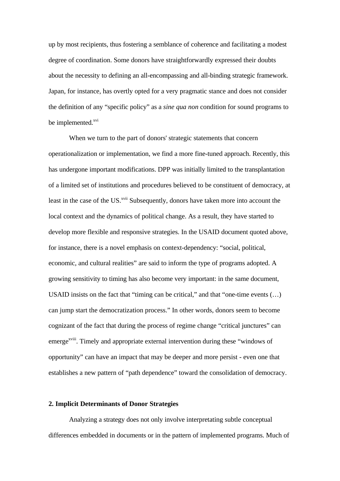up by most recipients, thus fostering a semblance of coherence and facilitating a modest degree of coordination. Some donors have straightforwardly expressed their doubts about the necessity to defining an all-encompassing and all-binding strategic framework. Japan, for instance, has overtly opted for a very pragmatic stance and does not consider the definition of any "specific policy" as a *sine qua non* condition for sound programs to be implemented.<sup>xvi</sup>

When we turn to the part of donors' strategic statements that concern operationalization or implementation, we find a more fine-tuned approach. Recently, this has undergone important modifications. DPP was initially limited to the transplantation of a limited set of institutions and procedures believed to be constituent of democracy, at least in the case of the US.<sup>xvii</sup> Subsequently, donors have taken more into account the local context and the dynamics of political change. As a result, they have started to develop more flexible and responsive strategies. In the USAID document quoted above, for instance, there is a novel emphasis on context-dependency: "social, political, economic, and cultural realities" are said to inform the type of programs adopted. A growing sensitivity to timing has also become very important: in the same document, USAID insists on the fact that "timing can be critical," and that "one-time events (…) can jump start the democratization process." In other words, donors seem to become cognizant of the fact that during the process of regime change "critical junctures" can emerge<sup>xviii</sup>. Timely and appropriate external intervention during these "windows of opportunity" can have an impact that may be deeper and more persist - even one that establishes a new pattern of "path dependence" toward the consolidation of democracy.

#### **2. Implicit Determinants of Donor Strategies**

Analyzing a strategy does not only involve interpretating subtle conceptual differences embedded in documents or in the pattern of implemented programs. Much of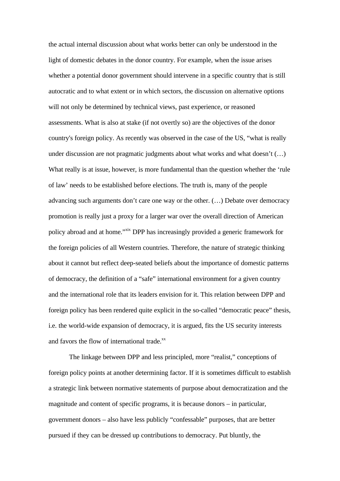the actual internal discussion about what works better can only be understood in the light of domestic debates in the donor country. For example, when the issue arises whether a potential donor government should intervene in a specific country that is still autocratic and to what extent or in which sectors, the discussion on alternative options will not only be determined by technical views, past experience, or reasoned assessments. What is also at stake (if not overtly so) are the objectives of the donor country's foreign policy. As recently was observed in the case of the US, "what is really under discussion are not pragmatic judgments about what works and what doesn't (…) What really is at issue, however, is more fundamental than the question whether the 'rule of law' needs to be established before elections. The truth is, many of the people advancing such arguments don't care one way or the other. (…) Debate over democracy promotion is really just a proxy for a larger war over the overall direction of American policy abroad and at home."xix DPP has increasingly provided a generic framework for the foreign policies of all Western countries. Therefore, the nature of strategic thinking about it cannot but reflect deep-seated beliefs about the importance of domestic patterns of democracy, the definition of a "safe" international environment for a given country and the international role that its leaders envision for it. This relation between DPP and foreign policy has been rendered quite explicit in the so-called "democratic peace" thesis, i.e. the world-wide expansion of democracy, it is argued, fits the US security interests and favors the flow of international trade.<sup>xx</sup>

The linkage between DPP and less principled, more "realist," conceptions of foreign policy points at another determining factor. If it is sometimes difficult to establish a strategic link between normative statements of purpose about democratization and the magnitude and content of specific programs, it is because donors – in particular, government donors – also have less publicly "confessable" purposes, that are better pursued if they can be dressed up contributions to democracy. Put bluntly, the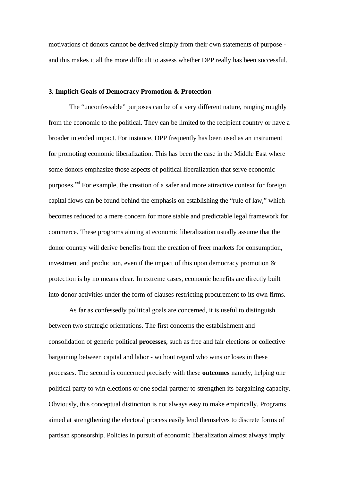motivations of donors cannot be derived simply from their own statements of purpose and this makes it all the more difficult to assess whether DPP really has been successful.

#### **3. Implicit Goals of Democracy Promotion & Protection**

The "unconfessable" purposes can be of a very different nature, ranging roughly from the economic to the political. They can be limited to the recipient country or have a broader intended impact. For instance, DPP frequently has been used as an instrument for promoting economic liberalization. This has been the case in the Middle East where some donors emphasize those aspects of political liberalization that serve economic purposes.<sup>xxi</sup> For example, the creation of a safer and more attractive context for foreign capital flows can be found behind the emphasis on establishing the "rule of law," which becomes reduced to a mere concern for more stable and predictable legal framework for commerce. These programs aiming at economic liberalization usually assume that the donor country will derive benefits from the creation of freer markets for consumption, investment and production, even if the impact of this upon democracy promotion & protection is by no means clear. In extreme cases, economic benefits are directly built into donor activities under the form of clauses restricting procurement to its own firms.

As far as confessedly political goals are concerned, it is useful to distinguish between two strategic orientations. The first concerns the establishment and consolidation of generic political **processes**, such as free and fair elections or collective bargaining between capital and labor - without regard who wins or loses in these processes. The second is concerned precisely with these **outcomes** namely, helping one political party to win elections or one social partner to strengthen its bargaining capacity. Obviously, this conceptual distinction is not always easy to make empirically. Programs aimed at strengthening the electoral process easily lend themselves to discrete forms of partisan sponsorship. Policies in pursuit of economic liberalization almost always imply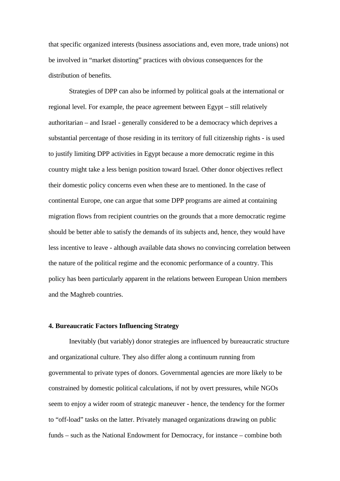that specific organized interests (business associations and, even more, trade unions) not be involved in "market distorting" practices with obvious consequences for the distribution of benefits.

Strategies of DPP can also be informed by political goals at the international or regional level. For example, the peace agreement between Egypt – still relatively authoritarian – and Israel - generally considered to be a democracy which deprives a substantial percentage of those residing in its territory of full citizenship rights - is used to justify limiting DPP activities in Egypt because a more democratic regime in this country might take a less benign position toward Israel. Other donor objectives reflect their domestic policy concerns even when these are to mentioned. In the case of continental Europe, one can argue that some DPP programs are aimed at containing migration flows from recipient countries on the grounds that a more democratic regime should be better able to satisfy the demands of its subjects and, hence, they would have less incentive to leave - although available data shows no convincing correlation between the nature of the political regime and the economic performance of a country. This policy has been particularly apparent in the relations between European Union members and the Maghreb countries.

#### **4. Bureaucratic Factors Influencing Strategy**

Inevitably (but variably) donor strategies are influenced by bureaucratic structure and organizational culture. They also differ along a continuum running from governmental to private types of donors. Governmental agencies are more likely to be constrained by domestic political calculations, if not by overt pressures, while NGOs seem to enjoy a wider room of strategic maneuver - hence, the tendency for the former to "off-load" tasks on the latter. Privately managed organizations drawing on public funds – such as the National Endowment for Democracy, for instance – combine both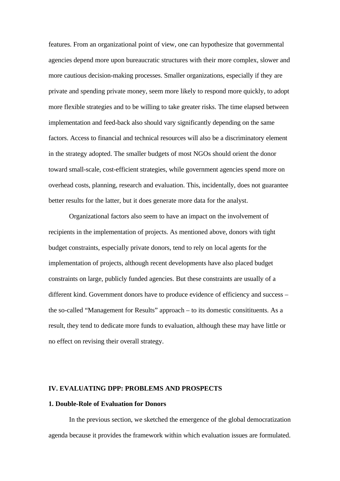features. From an organizational point of view, one can hypothesize that governmental agencies depend more upon bureaucratic structures with their more complex, slower and more cautious decision-making processes. Smaller organizations, especially if they are private and spending private money, seem more likely to respond more quickly, to adopt more flexible strategies and to be willing to take greater risks. The time elapsed between implementation and feed-back also should vary significantly depending on the same factors. Access to financial and technical resources will also be a discriminatory element in the strategy adopted. The smaller budgets of most NGOs should orient the donor toward small-scale, cost-efficient strategies, while government agencies spend more on overhead costs, planning, research and evaluation. This, incidentally, does not guarantee better results for the latter, but it does generate more data for the analyst.

Organizational factors also seem to have an impact on the involvement of recipients in the implementation of projects. As mentioned above, donors with tight budget constraints, especially private donors, tend to rely on local agents for the implementation of projects, although recent developments have also placed budget constraints on large, publicly funded agencies. But these constraints are usually of a different kind. Government donors have to produce evidence of efficiency and success – the so-called "Management for Results" approach – to its domestic consitituents. As a result, they tend to dedicate more funds to evaluation, although these may have little or no effect on revising their overall strategy.

#### **IV. EVALUATING DPP: PROBLEMS AND PROSPECTS**

#### **1. Double-Role of Evaluation for Donors**

In the previous section, we sketched the emergence of the global democratization agenda because it provides the framework within which evaluation issues are formulated.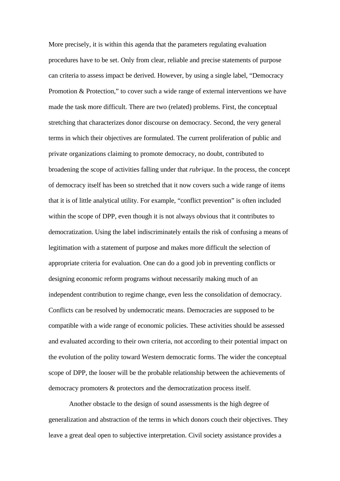More precisely, it is within this agenda that the parameters regulating evaluation procedures have to be set. Only from clear, reliable and precise statements of purpose can criteria to assess impact be derived. However, by using a single label, "Democracy Promotion & Protection," to cover such a wide range of external interventions we have made the task more difficult. There are two (related) problems. First, the conceptual stretching that characterizes donor discourse on democracy. Second, the very general terms in which their objectives are formulated. The current proliferation of public and private organizations claiming to promote democracy, no doubt, contributed to broadening the scope of activities falling under that *rubrique*. In the process, the concept of democracy itself has been so stretched that it now covers such a wide range of items that it is of little analytical utility. For example, "conflict prevention" is often included within the scope of DPP, even though it is not always obvious that it contributes to democratization. Using the label indiscriminately entails the risk of confusing a means of legitimation with a statement of purpose and makes more difficult the selection of appropriate criteria for evaluation. One can do a good job in preventing conflicts or designing economic reform programs without necessarily making much of an independent contribution to regime change, even less the consolidation of democracy. Conflicts can be resolved by undemocratic means. Democracies are supposed to be compatible with a wide range of economic policies. These activities should be assessed and evaluated according to their own criteria, not according to their potential impact on the evolution of the polity toward Western democratic forms. The wider the conceptual scope of DPP, the looser will be the probable relationship between the achievements of democracy promoters & protectors and the democratization process itself.

Another obstacle to the design of sound assessments is the high degree of generalization and abstraction of the terms in which donors couch their objectives. They leave a great deal open to subjective interpretation. Civil society assistance provides a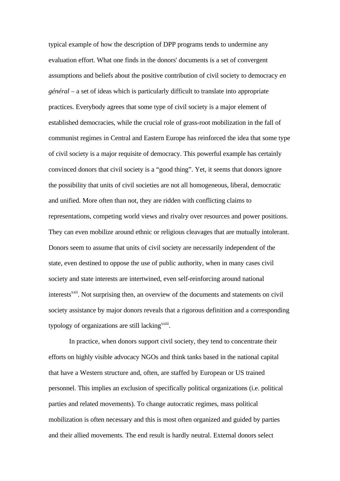typical example of how the description of DPP programs tends to undermine any evaluation effort. What one finds in the donors' documents is a set of convergent assumptions and beliefs about the positive contribution of civil society to democracy *en général* – a set of ideas which is particularly difficult to translate into appropriate practices. Everybody agrees that some type of civil society is a major element of established democracies, while the crucial role of grass-root mobilization in the fall of communist regimes in Central and Eastern Europe has reinforced the idea that some type of civil society is a major requisite of democracy. This powerful example has certainly convinced donors that civil society is a "good thing". Yet, it seems that donors ignore the possibility that units of civil societies are not all homogeneous, liberal, democratic and unified. More often than not, they are ridden with conflicting claims to representations, competing world views and rivalry over resources and power positions. They can even mobilize around ethnic or religious cleavages that are mutually intolerant. Donors seem to assume that units of civil society are necessarily independent of the state, even destined to oppose the use of public authority, when in many cases civil society and state interests are intertwined, even self-reinforcing around national interests<sup>xxii</sup>. Not surprising then, an overview of the documents and statements on civil society assistance by major donors reveals that a rigorous definition and a corresponding typology of organizations are still lacking<sup>xxiii</sup>.

In practice, when donors support civil society, they tend to concentrate their efforts on highly visible advocacy NGOs and think tanks based in the national capital that have a Western structure and, often, are staffed by European or US trained personnel. This implies an exclusion of specifically political organizations (i.e. political parties and related movements). To change autocratic regimes, mass political mobilization is often necessary and this is most often organized and guided by parties and their allied movements. The end result is hardly neutral. External donors select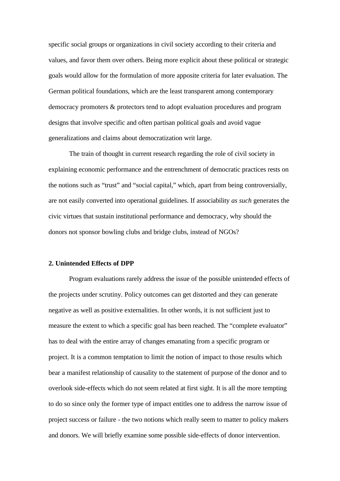specific social groups or organizations in civil society according to their criteria and values, and favor them over others. Being more explicit about these political or strategic goals would allow for the formulation of more apposite criteria for later evaluation. The German political foundations, which are the least transparent among contemporary democracy promoters & protectors tend to adopt evaluation procedures and program designs that involve specific and often partisan political goals and avoid vague generalizations and claims about democratization writ large.

The train of thought in current research regarding the role of civil society in explaining economic performance and the entrenchment of democratic practices rests on the notions such as "trust" and "social capital," which, apart from being controversially, are not easily converted into operational guidelines. If associability *as such* generates the civic virtues that sustain institutional performance and democracy, why should the donors not sponsor bowling clubs and bridge clubs, instead of NGOs?

#### **2. Unintended Effects of DPP**

Program evaluations rarely address the issue of the possible unintended effects of the projects under scrutiny. Policy outcomes can get distorted and they can generate negative as well as positive externalities. In other words, it is not sufficient just to measure the extent to which a specific goal has been reached. The "complete evaluator" has to deal with the entire array of changes emanating from a specific program or project. It is a common temptation to limit the notion of impact to those results which bear a manifest relationship of causality to the statement of purpose of the donor and to overlook side-effects which do not seem related at first sight. It is all the more tempting to do so since only the former type of impact entitles one to address the narrow issue of project success or failure - the two notions which really seem to matter to policy makers and donors. We will briefly examine some possible side-effects of donor intervention.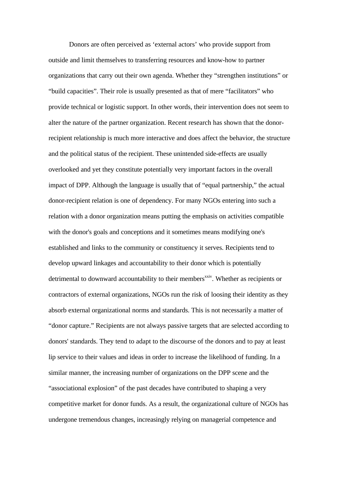Donors are often perceived as 'external actors' who provide support from outside and limit themselves to transferring resources and know-how to partner organizations that carry out their own agenda. Whether they "strengthen institutions" or "build capacities". Their role is usually presented as that of mere "facilitators" who provide technical or logistic support. In other words, their intervention does not seem to alter the nature of the partner organization. Recent research has shown that the donorrecipient relationship is much more interactive and does affect the behavior, the structure and the political status of the recipient. These unintended side-effects are usually overlooked and yet they constitute potentially very important factors in the overall impact of DPP. Although the language is usually that of "equal partnership," the actual donor-recipient relation is one of dependency. For many NGOs entering into such a relation with a donor organization means putting the emphasis on activities compatible with the donor's goals and conceptions and it sometimes means modifying one's established and links to the community or constituency it serves. Recipients tend to develop upward linkages and accountability to their donor which is potentially detrimental to downward accountability to their members<sup>xxiv</sup>. Whether as recipients or contractors of external organizations, NGOs run the risk of loosing their identity as they absorb external organizational norms and standards. This is not necessarily a matter of "donor capture." Recipients are not always passive targets that are selected according to donors' standards. They tend to adapt to the discourse of the donors and to pay at least lip service to their values and ideas in order to increase the likelihood of funding. In a similar manner, the increasing number of organizations on the DPP scene and the "associational explosion" of the past decades have contributed to shaping a very competitive market for donor funds. As a result, the organizational culture of NGOs has undergone tremendous changes, increasingly relying on managerial competence and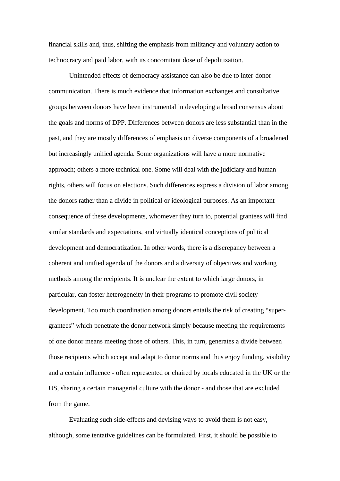financial skills and, thus, shifting the emphasis from militancy and voluntary action to technocracy and paid labor, with its concomitant dose of depolitization.

Unintended effects of democracy assistance can also be due to inter-donor communication. There is much evidence that information exchanges and consultative groups between donors have been instrumental in developing a broad consensus about the goals and norms of DPP. Differences between donors are less substantial than in the past, and they are mostly differences of emphasis on diverse components of a broadened but increasingly unified agenda. Some organizations will have a more normative approach; others a more technical one. Some will deal with the judiciary and human rights, others will focus on elections. Such differences express a division of labor among the donors rather than a divide in political or ideological purposes. As an important consequence of these developments, whomever they turn to, potential grantees will find similar standards and expectations, and virtually identical conceptions of political development and democratization. In other words, there is a discrepancy between a coherent and unified agenda of the donors and a diversity of objectives and working methods among the recipients. It is unclear the extent to which large donors, in particular, can foster heterogeneity in their programs to promote civil society development. Too much coordination among donors entails the risk of creating "supergrantees" which penetrate the donor network simply because meeting the requirements of one donor means meeting those of others. This, in turn, generates a divide between those recipients which accept and adapt to donor norms and thus enjoy funding, visibility and a certain influence - often represented or chaired by locals educated in the UK or the US, sharing a certain managerial culture with the donor - and those that are excluded from the game.

Evaluating such side-effects and devising ways to avoid them is not easy, although, some tentative guidelines can be formulated. First, it should be possible to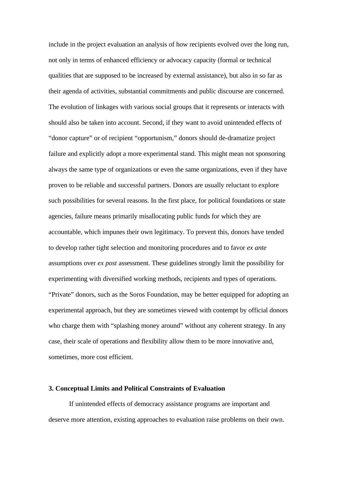include in the project evaluation an analysis of how recipients evolved over the long run, not only in terms of enhanced efficiency or advocacy capacity (formal or technical qualities that are supposed to be increased by external assistance), but also in so far as their agenda of activities, substantial commitments and public discourse are concerned. The evolution of linkages with various social groups that it represents or interacts with should also be taken into account. Second, if they want to avoid unintended effects of "donor capture" or of recipient "opportunism," donors should de-dramatize project failure and explicitly adopt a more experimental stand. This might mean not sponsoring always the same type of organizations or even the same organizations, even if they have proven to be reliable and successful partners. Donors are usually reluctant to explore such possibilities for several reasons. In the first place, for political foundations or state agencies, failure means primarily misallocating public funds for which they are accountable, which impunes their own legitimacy. To prevent this, donors have tended to develop rather tight selection and monitoring procedures and to favor *ex ante* assumptions over *ex post* assessment. These guidelines strongly limit the possibility for experimenting with diversified working methods, recipients and types of operations. "Private" donors, such as the Soros Foundation, may be better equipped for adopting an experimental approach, but they are sometimes viewed with contempt by official donors who charge them with "splashing money around" without any coherent strategy. In any case, their scale of operations and flexibility allow them to be more innovative and, sometimes, more cost efficient.

#### **3. Conceptual Limits and Political Constraints of Evaluation**

If unintended effects of democracy assistance programs are important and deserve more attention, existing approaches to evaluation raise problems on their own.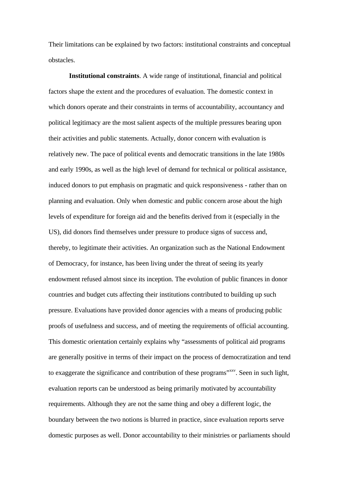Their limitations can be explained by two factors: institutional constraints and conceptual obstacles.

**Institutional constraints**. A wide range of institutional, financial and political factors shape the extent and the procedures of evaluation. The domestic context in which donors operate and their constraints in terms of accountability, accountancy and political legitimacy are the most salient aspects of the multiple pressures bearing upon their activities and public statements. Actually, donor concern with evaluation is relatively new. The pace of political events and democratic transitions in the late 1980s and early 1990s, as well as the high level of demand for technical or political assistance, induced donors to put emphasis on pragmatic and quick responsiveness - rather than on planning and evaluation. Only when domestic and public concern arose about the high levels of expenditure for foreign aid and the benefits derived from it (especially in the US), did donors find themselves under pressure to produce signs of success and, thereby, to legitimate their activities. An organization such as the National Endowment of Democracy, for instance, has been living under the threat of seeing its yearly endowment refused almost since its inception. The evolution of public finances in donor countries and budget cuts affecting their institutions contributed to building up such pressure. Evaluations have provided donor agencies with a means of producing public proofs of usefulness and success, and of meeting the requirements of official accounting. This domestic orientation certainly explains why "assessments of political aid programs are generally positive in terms of their impact on the process of democratization and tend to exaggerate the significance and contribution of these programs<sup>"xxv</sup>. Seen in such light, evaluation reports can be understood as being primarily motivated by accountability requirements. Although they are not the same thing and obey a different logic, the boundary between the two notions is blurred in practice, since evaluation reports serve domestic purposes as well. Donor accountability to their ministries or parliaments should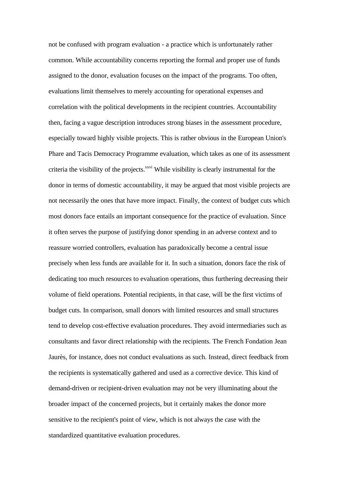not be confused with program evaluation - a practice which is unfortunately rather common. While accountability concerns reporting the formal and proper use of funds assigned to the donor, evaluation focuses on the impact of the programs. Too often, evaluations limit themselves to merely accounting for operational expenses and correlation with the political developments in the recipient countries. Accountability then, facing a vague description introduces strong biases in the assessment procedure, especially toward highly visible projects. This is rather obvious in the European Union's Phare and Tacis Democracy Programme evaluation, which takes as one of its assessment criteria the visibility of the projects.<sup>xxvi</sup> While visibility is clearly instrumental for the donor in terms of domestic accountability, it may be argued that most visible projects are not necessarily the ones that have more impact. Finally, the context of budget cuts which most donors face entails an important consequence for the practice of evaluation. Since it often serves the purpose of justifying donor spending in an adverse context and to reassure worried controllers, evaluation has paradoxically become a central issue precisely when less funds are available for it. In such a situation, donors face the risk of dedicating too much resources to evaluation operations, thus furthering decreasing their volume of field operations. Potential recipients, in that case, will be the first victims of budget cuts. In comparison, small donors with limited resources and small structures tend to develop cost-effective evaluation procedures. They avoid intermediaries such as consultants and favor direct relationship with the recipients. The French Fondation Jean Jaurès, for instance, does not conduct evaluations as such. Instead, direct feedback from the recipients is systematically gathered and used as a corrective device. This kind of demand-driven or recipient-driven evaluation may not be very illuminating about the broader impact of the concerned projects, but it certainly makes the donor more sensitive to the recipient's point of view, which is not always the case with the standardized quantitative evaluation procedures.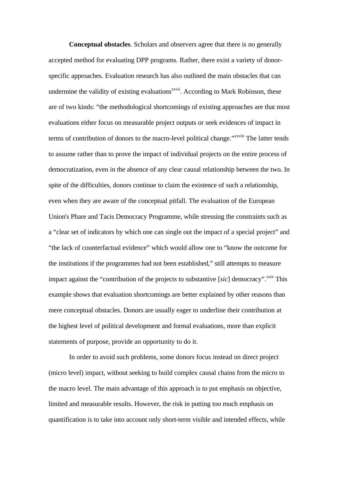**Conceptual obstacles**. Scholars and observers agree that there is no generally accepted method for evaluating DPP programs. Rather, there exist a variety of donorspecific approaches. Evaluation research has also outlined the main obstacles that can undermine the validity of existing evaluations<sup>xxvii</sup>. According to Mark Robinson, these are of two kinds: "the methodological shortcomings of existing approaches are that most evaluations either focus on measurable project outputs or seek evidences of impact in terms of contribution of donors to the macro-level political change."<sup>xxviii</sup> The latter tends to assume rather than to prove the impact of individual projects on the entire process of democratization, even in the absence of any clear causal relationship between the two. In spite of the difficulties, donors continue to claim the existence of such a relationship, even when they are aware of the conceptual pitfall. The evaluation of the European Union's Phare and Tacis Democracy Programme, while stressing the constraints such as a "clear set of indicators by which one can single out the impact of a special project" and "the lack of counterfactual evidence" which would allow one to "know the outcome for the institutions if the programmes had not been established," still attempts to measure impact against the "contribution of the projects to substantive [ $sic$ ] democracy".<sup>xxix</sup> This example shows that evaluation shortcomings are better explained by other reasons than mere conceptual obstacles. Donors are usually eager to underline their contribution at the highest level of political development and formal evaluations, more than explicit statements of purpose, provide an opportunity to do it.

In order to avoid such problems, some donors focus instead on direct project (micro level) impact, without seeking to build complex causal chains from the micro to the macro level. The main advantage of this approach is to put emphasis on objective, limited and measurable results. However, the risk in putting too much emphasis on quantification is to take into account only short-term visible and intended effects, while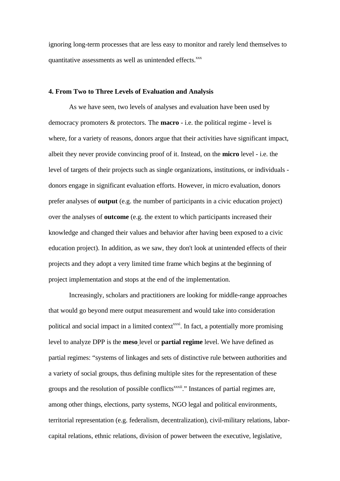ignoring long-term processes that are less easy to monitor and rarely lend themselves to quantitative assessments as well as unintended effects.<sup>xxx</sup>

#### **4. From Two to Three Levels of Evaluation and Analysis**

As we have seen, two levels of analyses and evaluation have been used by democracy promoters & protectors. The **macro** - i.e. the political regime - level is where, for a variety of reasons, donors argue that their activities have significant impact, albeit they never provide convincing proof of it. Instead, on the **micro** level - i.e. the level of targets of their projects such as single organizations, institutions, or individuals donors engage in significant evaluation efforts. However, in micro evaluation, donors prefer analyses of **output** (e.g. the number of participants in a civic education project) over the analyses of **outcome** (e.g. the extent to which participants increased their knowledge and changed their values and behavior after having been exposed to a civic education project). In addition, as we saw, they don't look at unintended effects of their projects and they adopt a very limited time frame which begins at the beginning of project implementation and stops at the end of the implementation.

Increasingly, scholars and practitioners are looking for middle-range approaches that would go beyond mere output measurement and would take into consideration political and social impact in a limited context<sup> $xxxi$ </sup>. In fact, a potentially more promising level to analyze DPP is the **meso** level or **partial regime** level. We have defined as partial regimes: "systems of linkages and sets of distinctive rule between authorities and a variety of social groups, thus defining multiple sites for the representation of these groups and the resolution of possible conflicts<sup>xxxii</sup>." Instances of partial regimes are, among other things, elections, party systems, NGO legal and political environments, territorial representation (e.g. federalism, decentralization), civil-military relations, laborcapital relations, ethnic relations, division of power between the executive, legislative,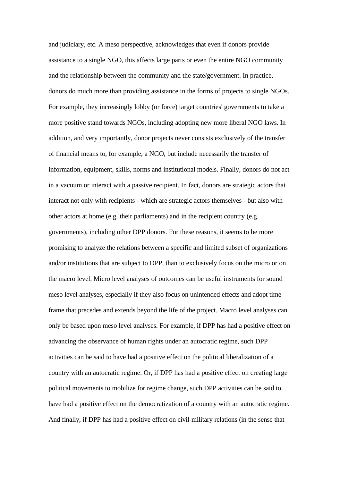and judiciary, etc. A meso perspective, acknowledges that even if donors provide assistance to a single NGO, this affects large parts or even the entire NGO community and the relationship between the community and the state/government. In practice, donors do much more than providing assistance in the forms of projects to single NGOs. For example, they increasingly lobby (or force) target countries' governments to take a more positive stand towards NGOs, including adopting new more liberal NGO laws. In addition, and very importantly, donor projects never consists exclusively of the transfer of financial means to, for example, a NGO, but include necessarily the transfer of information, equipment, skills, norms and institutional models. Finally, donors do not act in a vacuum or interact with a passive recipient. In fact, donors are strategic actors that interact not only with recipients - which are strategic actors themselves - but also with other actors at home (e.g. their parliaments) and in the recipient country (e.g. governments), including other DPP donors. For these reasons, it seems to be more promising to analyze the relations between a specific and limited subset of organizations and/or institutions that are subject to DPP, than to exclusively focus on the micro or on the macro level. Micro level analyses of outcomes can be useful instruments for sound meso level analyses, especially if they also focus on unintended effects and adopt time frame that precedes and extends beyond the life of the project. Macro level analyses can only be based upon meso level analyses. For example, if DPP has had a positive effect on advancing the observance of human rights under an autocratic regime, such DPP activities can be said to have had a positive effect on the political liberalization of a country with an autocratic regime. Or, if DPP has had a positive effect on creating large political movements to mobilize for regime change, such DPP activities can be said to have had a positive effect on the democratization of a country with an autocratic regime. And finally, if DPP has had a positive effect on civil-military relations (in the sense that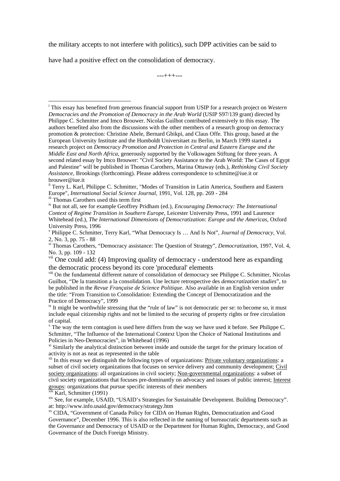the military accepts to not interfere with politics), such DPP activities can be said to

have had a positive effect on the consolidation of democracy.

---+++---

iv But not all, see for example Geoffrey Pridham (ed.), *Encouraging Democracy: The International Context of Regime Transition in Southern Europe*, Leicester University Press, 1991 and Laurence Whitehead (ed.), *The International Dimensions of Democratization: Europe and the Americas*, Oxford University Press, 1996

iii Karl, Schmitter (1991)

 $\overline{a}$ 

xiv See, for example, USAID, "USAID's Strategies for Sustainable Development. Building Democracy". at: http://www.info.usaid.gov/democracy/strategy.htm

xv CIDA, "Government of Canada Policy for CIDA on Human Rights, Democratization and Good Governance", December 1996. This is also reflected in the naming of bureaucratic departments such as the Governance and Democracy of USAID or the Department for Human Rights, Democracy, and Good Governance of the Dutch Foreign Ministry.

i This essay has benefited from generous financial support from USIP for a research project on *Western Democracies and the Promotion of Democracy in the Arab World* (USIP S97/139 grant) directed by Philippe C. Schmitter and Imco Brouwer. Nicolas Guilhot contributed extensively to this essay. The authors benefited also from the discussions with the other members of a research group on democracy promotion & protection: Christine Abele, Bernard Gbikpi, and Claus Offe. This group, based at the European University Institute and the Humboldt Universitaet zu Berlin, in March 1999 started a research project on *Democracy Promotion and Protection in Central and Eastern Europe and the Middle East and North Africa*, generously supported by the Volkswagen Stiftung for three years. A second related essay by Imco Brouwer: "Civil Society Assistance to the Arab World: The Cases of Egypt and Palestine" will be published in Thomas Carothers, Marina Ottaway (eds.), *Rethinking Civil Society Assistance*, Brookings (forthcoming). Please address correspondence to schmitte@iue.it or brouwer@iue.it

<sup>&</sup>lt;sup>ii</sup> Terry L. Karl, Philippe C. Schmitter, "Modes of Transition in Latin America, Southern and Eastern Europe", *International Social Science Journal*, 1991, Vol. 128, pp. 269 - 284 iii Thomas Carothers used this term first

v Philippe C. Schmitter, Terry Karl, "What Democracy Is … And Is Not", *Journal of Democracy*, Vol. 2, No. 3, pp. 75 - 88

vi Thomas Carothers, "Democracy assistance: The Question of Strategy", *Democratization*, 1997, Vol. 4, No. 3, pp. 109 - 132

<sup>&</sup>lt;sup>vii</sup> One could add: (4) Improving quality of democracy - understood here as expanding the democratic process beyond its core 'procedural' elements

viii On the fundamental different nature of consolidation of democracy see Philippe C. Schmitter, Nicolas Guilhot, "De la transition a la consolidation. Une lecture retrospective des *democratization studies*", to be published in the *Revue Française de Science Politique*. Also available in an English version under the title: "From Transition to Consolidation: Extending the Concept of Democratization and the Practice of Democracy", 1999

<sup>&</sup>lt;sup>ix</sup> It might be worthwhile stressing that the "rule of law" is not democratic per se: to become so, it must include equal citizenship rights and not be limited to the securing of property rights or free circulation of capital.

<sup>&</sup>lt;sup>x</sup> The way the term contagion is used here differs from the way we have used it before. See Philippe C. Schmitter, "The Influence of the International Context Upon the Choice of National Institutions and Policies in Neo-Democracies", in Whitehead (1996)

 $x<sup>i</sup>$  Similarly the analytical distinction between inside and outside the target for the primary location of activity is not as neat as represented in the table

xii In this essay we distinguish the following types of organizations: Private voluntary organizations: a subset of civil society organizations that focuses on service delivery and community development; Civil society organizations: all organizations in civil society; Non-governmental organizations: a subset of civil society organizations that focuses pre-dominantly on advocacy and issues of public interest; Interest groups: organizations that pursue specific interests of their members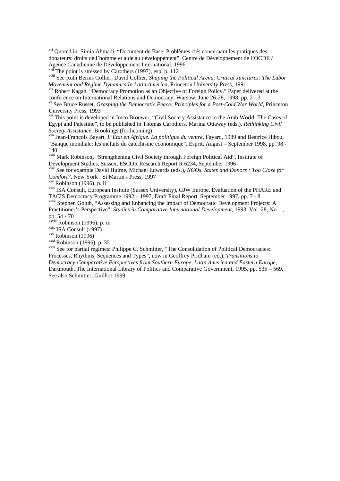xvi Quoted in: Simia Ahmadi, "Document de Base. Problèmes clés concernant les pratiques des donateurs: droits de l'homme et aide au développement". Centre de Développement de l'OCDE / Agence Canadienne de Développement International, 1996

The point is stressed by Carothers (1997), esp. p. 112

xviii See Ruth Berins Collier, David Collier, *Shaping the Political Arena. Critical Junctures: The Labor Movement and Regime Dynamics In Latin America*, Princeton University Press, 1991

xix Robert Kagan, "Democracy Promotion as an Objective of Foreign Policy." Paper delivered at the conference on International Relations and Democracy, Warsaw, June 26-28, 1998, pp. 2 - 3.

xx See Bruce Russet, *Grasping the Democratic Peace: Principles for a Post-Cold War World*, Princeton University Press, 1993

xxi This point is developed in Imco Brouwer, "Civil Society Assistance to the Arab World: The Cases of Egypt and Palestine", to be published in Thomas Carothers, Marina Ottaway (eds.), *Rethinking Civil Society Assistance*, Brookings (forthcoming)

xxii Jean-François Bayart, *L'Etat en Afrique. La politique du ventre*, Fayard, 1989 and Beatrice Hibou, "Banque mondiale: les méfaits du catéchisme économique", Esprit, August – September 1998, pp. 98 - 140

xxiii Mark Robinson**,** "Strengthening Civil Society through Foreign Political Aid", Institute of Development Studies, Sussex, ESCOR Research Report R 6234, September 1996

xxiv See for example David Hulme, Michael Edwards (eds.), *NGOs, States and Donors : Too Close for Comfort?*, New York : St Martin's Press, 1997

xxv Robinson (1996), p. ii

 $\overline{a}$ 

xxvi ISA Consult, European Insitute (Sussex University), GJW Europe, Evaluation of the PHARE and TACIS Democracy Programme 1992 – 1997, Draft Final Report, September 1997, pp. 7 - 8

xxvii Stephen Golub, "Assessing and Enhancing the Impact of Democratic Development Projects: A Practitioner's Perspective", *Studies in Comparative International Development*, 1993, Vol. 28, No. 1, pp. 54 - 70

<sup>xxviii</sup> Robinson (1996), p. iii

xxix ISA Consult (1997)

 $xxx$  Robinson (1996)

 $x$ <sup>xxxi</sup> Robinson (1996), p. 35

xxxi See for partial regimes: Philippe C. Schmitter, "The Consolidation of Political Democracies: Processes, Rhythms, Sequences and Types", now in Geoffrey Pridham (ed.), *Transitions to Democracy:Comparative Perspectives from Southern Europe, Latin America and Eastern Europe*, Dartmouth, The International Library of Politics and Comparative Government, 1995, pp. 535 – 569. See also Schmitter, Guilhot:1999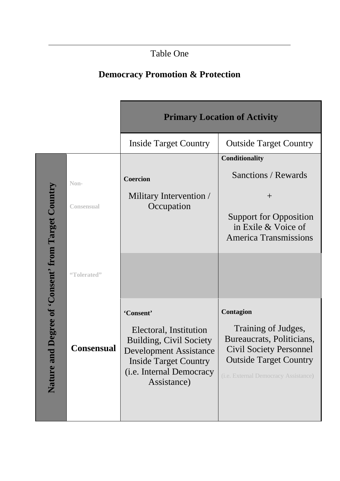# Table One

 $\overline{a}$ 

# **Democracy Promotion & Protection**

|                                                        |                   | <b>Primary Location of Activity</b>                                                                                                                                               |                                                                                                                                                                          |
|--------------------------------------------------------|-------------------|-----------------------------------------------------------------------------------------------------------------------------------------------------------------------------------|--------------------------------------------------------------------------------------------------------------------------------------------------------------------------|
|                                                        |                   | <b>Inside Target Country</b>                                                                                                                                                      | <b>Outside Target Country</b>                                                                                                                                            |
|                                                        |                   |                                                                                                                                                                                   | Conditionality                                                                                                                                                           |
| d Degree of 'Consent' from Target Country<br>Nature ar | Non-              | <b>Coercion</b>                                                                                                                                                                   | Sanctions / Rewards                                                                                                                                                      |
|                                                        | <b>Consensual</b> | Military Intervention /<br>Occupation                                                                                                                                             | $^{+}$<br><b>Support for Opposition</b>                                                                                                                                  |
|                                                        |                   |                                                                                                                                                                                   | in Exile & Voice of<br><b>America Transmissions</b>                                                                                                                      |
|                                                        | "Tolerated"       |                                                                                                                                                                                   |                                                                                                                                                                          |
|                                                        | <b>Consensual</b> | 'Consent'<br>Electoral, Institution<br><b>Building, Civil Society</b><br><b>Development Assistance</b><br><b>Inside Target Country</b><br>(i.e. Internal Democracy<br>Assistance) | Contagion<br>Training of Judges,<br>Bureaucrats, Politicians,<br><b>Civil Society Personnel</b><br><b>Outside Target Country</b><br>(i.e. External Democracy Assistance) |
|                                                        |                   |                                                                                                                                                                                   |                                                                                                                                                                          |